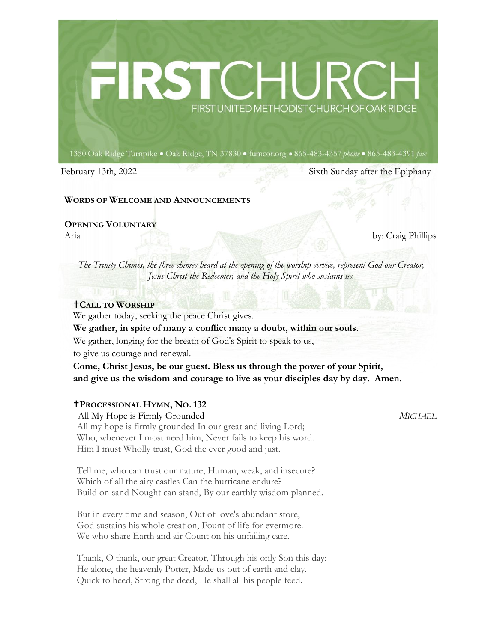# FIRST UNITED METHODIST CHURCH OF OAK RIDGE

1350 Oak Ridge Turnpike . Oak Ridge, TN 37830 . fumcor.org . 865-483-4357 phone . 865-483-4391 fax

February 13th, 2022 Sixth Sunday after the Epiphany

### **WORDS OF WELCOME AND ANNOUNCEMENTS**

### **OPENING VOLUNTARY**

Aria by: Craig Phillips

*The Trinity Chimes, the three chimes heard at the opening of the worship service, represent God our Creator, Jesus Christ the Redeemer, and the Holy Spirit who sustains us.* 

### **CALL TO WORSHIP**

We gather today, seeking the peace Christ gives.

**We gather, in spite of many a conflict many a doubt, within our souls.**

We gather, longing for the breath of God's Spirit to speak to us,

to give us courage and renewal.

**Come, Christ Jesus, be our guest. Bless us through the power of your Spirit, and give us the wisdom and courage to live as your disciples day by day. Amen.**

# **PROCESSIONAL HYMN, NO. 132**

 All My Hope is Firmly Grounded *MICHAEL* All my hope is firmly grounded In our great and living Lord; Who, whenever I most need him, Never fails to keep his word. Him I must Wholly trust, God the ever good and just.

Tell me, who can trust our nature, Human, weak, and insecure? Which of all the airy castles Can the hurricane endure? Build on sand Nought can stand, By our earthly wisdom planned.

But in every time and season, Out of love's abundant store, God sustains his whole creation, Fount of life for evermore. We who share Earth and air Count on his unfailing care.

Thank, O thank, our great Creator, Through his only Son this day; He alone, the heavenly Potter, Made us out of earth and clay. Quick to heed, Strong the deed, He shall all his people feed.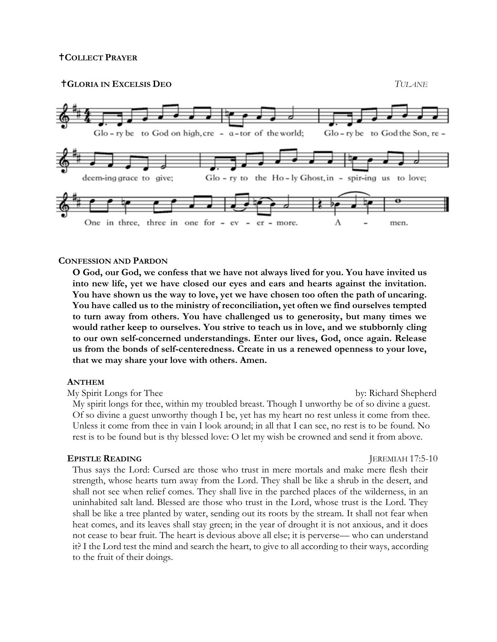**GLORIA IN EXCELSIS DEO** *TULANE*



### **CONFESSION AND PARDON**

**O God, our God, we confess that we have not always lived for you. You have invited us into new life, yet we have closed our eyes and ears and hearts against the invitation. You have shown us the way to love, yet we have chosen too often the path of uncaring. You have called us to the ministry of reconciliation, yet often we find ourselves tempted to turn away from others. You have challenged us to generosity, but many times we would rather keep to ourselves. You strive to teach us in love, and we stubbornly cling to our own self-concerned understandings. Enter our lives, God, once again. Release us from the bonds of self-centeredness. Create in us a renewed openness to your love, that we may share your love with others. Amen.**

### **ANTHEM**

My Spirit Longs for Thee by: Richard Shepherd My spirit longs for thee, within my troubled breast. Though I unworthy be of so divine a guest. Of so divine a guest unworthy though I be, yet has my heart no rest unless it come from thee. Unless it come from thee in vain I look around; in all that I can see, no rest is to be found. No rest is to be found but is thy blessed love: O let my wish be crowned and send it from above.

### **EPISTLE READING** JEREMIAH 17:5-10

Thus says the Lord: Cursed are those who trust in mere mortals and make mere flesh their strength, whose hearts turn away from the Lord. They shall be like a shrub in the desert, and shall not see when relief comes. They shall live in the parched places of the wilderness, in an uninhabited salt land. Blessed are those who trust in the Lord, whose trust is the Lord. They shall be like a tree planted by water, sending out its roots by the stream. It shall not fear when heat comes, and its leaves shall stay green; in the year of drought it is not anxious, and it does not cease to bear fruit. The heart is devious above all else; it is perverse— who can understand it? I the Lord test the mind and search the heart, to give to all according to their ways, according to the fruit of their doings.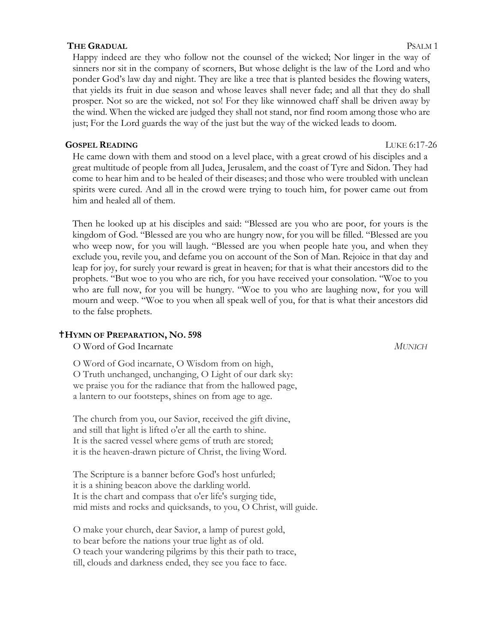### **THE GRADUAL** PSALM 1

Happy indeed are they who follow not the counsel of the wicked; Nor linger in the way of sinners nor sit in the company of scorners, But whose delight is the law of the Lord and who ponder God's law day and night. They are like a tree that is planted besides the flowing waters, that yields its fruit in due season and whose leaves shall never fade; and all that they do shall prosper. Not so are the wicked, not so! For they like winnowed chaff shall be driven away by the wind. When the wicked are judged they shall not stand, nor find room among those who are just; For the Lord guards the way of the just but the way of the wicked leads to doom.

# **GOSPEL READING** LUKE 6:17-26

He came down with them and stood on a level place, with a great crowd of his disciples and a great multitude of people from all Judea, Jerusalem, and the coast of Tyre and Sidon. They had come to hear him and to be healed of their diseases; and those who were troubled with unclean spirits were cured. And all in the crowd were trying to touch him, for power came out from him and healed all of them.

Then he looked up at his disciples and said: "Blessed are you who are poor, for yours is the kingdom of God. "Blessed are you who are hungry now, for you will be filled. "Blessed are you who weep now, for you will laugh. "Blessed are you when people hate you, and when they exclude you, revile you, and defame you on account of the Son of Man. Rejoice in that day and leap for joy, for surely your reward is great in heaven; for that is what their ancestors did to the prophets. "But woe to you who are rich, for you have received your consolation. "Woe to you who are full now, for you will be hungry. "Woe to you who are laughing now, for you will mourn and weep. "Woe to you when all speak well of you, for that is what their ancestors did to the false prophets.

# **HYMN OF PREPARATION, NO. 598**

O Word of God Incarnate *MUNICH*

O Word of God incarnate, O Wisdom from on high, O Truth unchanged, unchanging, O Light of our dark sky: we praise you for the radiance that from the hallowed page, a lantern to our footsteps, shines on from age to age.

The church from you, our Savior, received the gift divine, and still that light is lifted o'er all the earth to shine. It is the sacred vessel where gems of truth are stored; it is the heaven-drawn picture of Christ, the living Word.

The Scripture is a banner before God's host unfurled; it is a shining beacon above the darkling world. It is the chart and compass that o'er life's surging tide, mid mists and rocks and quicksands, to you, O Christ, will guide.

O make your church, dear Savior, a lamp of purest gold, to bear before the nations your true light as of old. O teach your wandering pilgrims by this their path to trace, till, clouds and darkness ended, they see you face to face.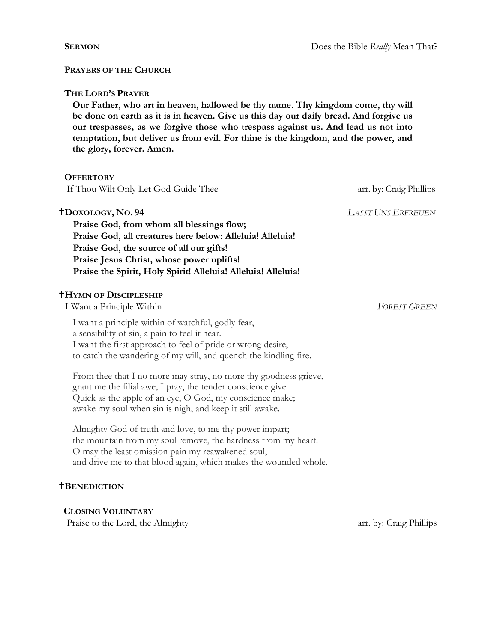### **PRAYERS OF THE CHURCH**

### **THE LORD'S PRAYER**

**Our Father, who art in heaven, hallowed be thy name. Thy kingdom come, thy will be done on earth as it is in heaven. Give us this day our daily bread. And forgive us our trespasses, as we forgive those who trespass against us. And lead us not into temptation, but deliver us from evil. For thine is the kingdom, and the power, and the glory, forever. Amen.**

| <b>OFFERTORY</b>                                                                                                                                                                                                                                                                             |                           |
|----------------------------------------------------------------------------------------------------------------------------------------------------------------------------------------------------------------------------------------------------------------------------------------------|---------------------------|
| If Thou Wilt Only Let God Guide Thee                                                                                                                                                                                                                                                         | arr. by: Craig Phillips   |
| <b>TDOXOLOGY, NO. 94</b><br>Praise God, from whom all blessings flow;<br>Praise God, all creatures here below: Alleluia! Alleluia!<br>Praise God, the source of all our gifts!<br>Praise Jesus Christ, whose power uplifts!<br>Praise the Spirit, Holy Spirit! Alleluia! Alleluia! Alleluia! | <b>LASST UNS ERFREUEN</b> |
| <b><i>THYMN OF DISCIPLESHIP</i></b><br>I Want a Principle Within                                                                                                                                                                                                                             | <b>FOREST GREEN</b>       |
| I want a principle within of watchful, godly fear,<br>a sensibility of sin, a pain to feel it near.<br>I want the first approach to feel of pride or wrong desire,<br>to catch the wandering of my will, and quench the kindling fire.                                                       |                           |
| From thee that I no more may stray, no more thy goodness grieve,<br>grant me the filial awe, I pray, the tender conscience give.<br>Quick as the apple of an eye, O God, my conscience make;<br>awake my soul when sin is nigh, and keep it still awake.                                     |                           |
| Almighty God of truth and love, to me thy power impart;<br>the mountain from my soul remove, the hardness from my heart.<br>O may the least omission pain my reawakened soul,<br>and drive me to that blood again, which makes the wounded whole.                                            |                           |
| <b>TBENEDICTION</b>                                                                                                                                                                                                                                                                          |                           |

 **CLOSING VOLUNTARY**  Praise to the Lord, the Almighty arr. by: Craig Phillips